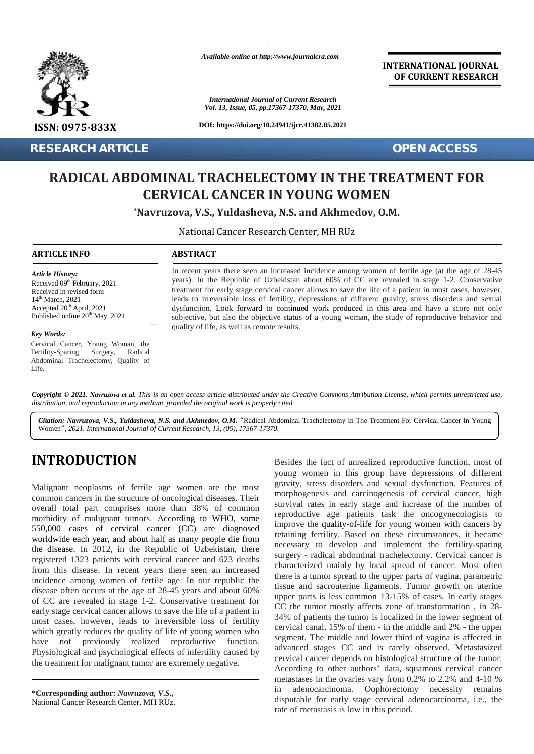

**RESEARCH ARTICLE OPEN ACCESS**

*Available online at http://www.journalcra.com*

*International Journal of Current Research Vol. 13, Issue, 05, pp.17367-17370, May, 2021*

**DOI: https://doi.org/10.24941/ijcr.41382.05.2021**

**INTERNATIONAL JOURNAL OF CURRENT RESEARCH**

# RADICAL ABDOMINAL TRACHELECTOMY IN THE TREATMENT FOR<br>CERVICAL CANCER IN YOUNG WOMEN **CERVICAL CANCER IN YOUNG WOMEN**

**\*Navruzova, V.S., Yuldasheva, N.S. and Akhmedov, O.M.**

National Cancer Research Center, MH RUz

#### **ARTICLE INFO ABSTRACT ARTICLE ABSTRACT**

*Article History: Article History:* Received  $09<sup>th</sup>$  February, 2021 Received 09<sup>--</sup> February, 2021<br>Received in revised form  $14<sup>th</sup> March, 2021$ Accepted  $20<sup>th</sup>$  April, 2021 d Published online  $20^{th}$  May,  $2021$ excepted 20<sup>th</sup> April, 2021 (ublished online  $20^{th}$  May, 2021 (<br> **ey Words:** Cancer, Young Woman, the Cancer, Young Woman, the **RESEARCH A<br>
RADICAI**<br> **RADICAI**<br> **ARTICLE INFO**<br> *Article History:*<br>
Received 09<sup>th</sup> February, 2<br>
14<sup>th</sup> March, 2021<br>
Accepted 20<sup>th</sup> April, 202

#### *Key Words:*

Fertility-Sparing Surgery, Abdominal Trachelectomy, Quality of Life. Radical

In recent years there seen an increased incidence among women of fertile age (at the age of 28-45 years). In the Republic of Uzbekistan about 60% of CC are revealed in stage 1-2. Conservative treatment for early stage cervical cancer allows to save the life of a patient in most cases, however, leads to irreversible loss of fertility, depressions of different gravity, stress disorders and sexual dysfunction. Look forward to continued work produced in this area and have a score not only subjective, but also the objective status of a young woman, the study of reproductive behavior and quality of life, as well as remote results. In recent years there seen an increased incidence among women of fertile age (at the age years). In the Republic of Uzbekistan about 60% of CC are revealed in stage 1-2. Cortreatment for early stage cervical cancer allows <sup>Th</sup> February, 2021<br> *S*<sup>th</sup> February, 2021<br>
2021<br> *S*<sup>th</sup> April, 2021<br> *May, 2021*<br> *May, 2021*<br> *May, 2021*<br> *May, 2021*<br> *May, 2021*<br> *May, 2021*<br> *May, 2021*<br> *May, 2021*<br> *May, 2021*<br> *Mayruzova et al. This is an open* dysfunction. Look forward to continued work produced in this area and have a<br>subjective, but also the objective status of a young woman, the study of reproducti-<br>quality of life, as well as remote results.<br>Radical<br>ality of

**Copyright © 2021. Navruzova et al.** This is an open access article distributed under the Creative Commons Attribution License, which permits unrestricted use,<br>distribution, and reproduction in any medium, provided the ori *distribution, and reproduction in any medium, provided the original work is properly cited.*

Citation: Navruzova, V.S., Yuldasheva, N.S. and Akhmedov, O.M. "Radical Abdominal Trachelectomy In The Treatment For Cervical Cancer In Young Women*", 2021. International Journal of Current Research, 13, (05), 17367-17370.*

## **INTRODUCTION INTRODUCTION**

Malignant neoplasms of fertile age women are the most common cancers in the structure of oncological diseases. Their overall total part comprises more than 38% of common morbidity of malignant tumors. According to WHO, some 550,000 cases of cervical cancer (CC) are diagnosed worldwide each year, and about half as many people die from the disease. In 2012, in the Republic of Uzbekistan, there registered 1323 patients with cervical cancer and 623 deaths from this disease. In recent years there seen an increased incidence among women of fertile age. In our republic the disease often occurs at the age of 28-45 years and about 60% of CC are revealed in stage 1-2. Conservative treatment for early stage cervical cancer allows to save the life of a patient in most cases, however, leads to irreversible loss of fertility which greatly reduces the quality of life of young women who have not previously realized reproductive function. Physiological and psychological effects of infertility caused by the treatment for malignant tumor are extremely negative. overall total part comprises more than 38% of common morbidity of malignant tumors. According to WHO, son 550,000 cases of cervical cancer (CC) are diagnos worldwide each year, and about half as many people die from the di Form Reaction 16 (Form Research 16 (Form Reaction)<br>
Vol. 13, Issne, 85, pp.1730, May, 3021<br>
DOI: https://dolong/10.24941/ijcr.41.882.05.30<br>
2021 D. Https://dolong/10.24941/ijcr.41.882.05.30<br>
2021 CRIVICAL CANCER IN YOUNG T

**\*Corresponding author:** *Navruzova, V.S.,* **\*Corresponding** National Cancer Research Center, MH RUz.

Besides the fact of unrealized reproductive function, most of young women in this group have depressions of different gravity, stress disorders and sexual dysfunction. Features of morphogenesis and carcinogenesis of cervical cancer, high survival rates in early stage and increase of the number of reproductive age patients task the oncogynecologists to improve the quality-of-life for young women with cancers by retaining fertility. Based on these circumstances, it became necessary to develop and implement the fertility-sparing retaining fertility. Based on these circumstances, it became<br>necessary to develop and implement the fertility-sparing<br>surgery - radical abdominal trachelectomy. Cervical cancer is characterized mainly by local spread of cancer. Most often there is a tumor spread to the upper parts of vagina, parametric tissue and sacrouterine ligaments. Tumor growth on uterine upper parts is less common 13-15% of cases. In early stages CC the tumor mostly affects zone of transformation , in 28- 34% of patients the tumor is localized in the lower segment of cervical canal, 15% of them - in the middle and 2% - the upper segment. The middle and lower third of vagina is affected in segment. The middle and lower third of vagina is affected in advanced stages CC and is rarely observed. Metastasized cervical cancer depends on histological structure of the tumor. According to other authors' data, squamous cervical cancer metastases in the ovaries vary from  $0.2\%$  to  $2.2\%$  and  $4-10\%$ in adenocarcinoma. Oophorectomy necessity remains disputable for early stage cervical adenocarcinoma, i.e., the rate of metastasis is low in this period. **INTRODUCTION**<br>
Natigranut neoplasms of fertile age women are the most gravity, stress disorders and exerual of sincered<br>
Matigranut neoplasms of fertile age women are the most gravity, stress disorders and exerual of sinc characterized mainly by local spread of cancer. Most often<br>there is a tumor spread to the upper parts of vagina, parametric<br>tissue and sacrouterine ligaments. Tumor growth on uterine<br>upper parts is less common 13-15% of ca in early stage and increase of the number of<br>ge patients task the oncogynecologists to<br>ality-of-life for young women with cancers by<br>ty. Based on these circumstances, it became<br>develop and implement the fertility-sparing<br>a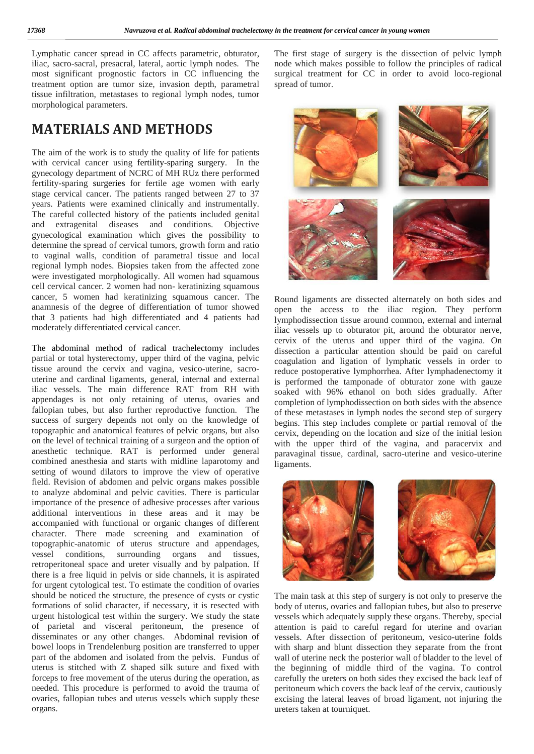Lymphatic cancer spread in CC affects parametric, obturator, iliac, sacro-sacral, presacral, lateral, aortic lymph nodes. The most significant prognostic factors in CC influencing the treatment option are tumor size, invasion depth, parametral tissue infiltration, metastases to regional lymph nodes, tumor morphological parameters.

## **MATERIALS AND METHODS**

The aim of the work is to study the quality of life for patients with cervical cancer using fertility-sparing surgery. In the gynecology department of NCRC of MH RUz there performed fertility-sparing surgeries for fertile age women with early stage cervical cancer. The patients ranged between 27 to 37 years. Patients were examined clinically and instrumentally. The careful collected history of the patients included genital and extragenital diseases and conditions. Objective gynecological examination which gives the possibility to determine the spread of cervical tumors, growth form and ratio to vaginal walls, condition of parametral tissue and local regional lymph nodes. Biopsies taken from the affected zone were investigated morphologically. All women had squamous cell cervical cancer. 2 women had non- keratinizing squamous cancer, 5 women had keratinizing squamous cancer. The anamnesis of the degree of differentiation of tumor showed that 3 patients had high differentiated and 4 patients had moderately differentiated cervical cancer.

The abdominal method of radical trachelectomy includes partial or total hysterectomy, upper third of the vagina, pelvic tissue around the cervix and vagina, vesico-uterine, sacro uterine and cardinal ligaments, general, internal and external iliac vessels. The main difference RAT from RH with appendages is not only retaining of uterus, ovaries and fallopian tubes, but also further reproductive function. The success of surgery depends not only on the knowledge of topographic and anatomical features of pelvic organs, but also on the level of technical training of a surgeon and the option of anesthetic technique. RAT is performed under general combined anesthesia and starts with midline laparotomy and setting of wound dilators to improve the view of operative field. Revision of abdomen and pelvic organs makes possible to analyze abdominal and pelvic cavities. There is particular importance of the presence of adhesive processes after various additional interventions in these areas and it may be accompanied with functional or organic changes of different character. There made screening and examination of topographic-anatomic of uterus structure and appendages, vessel conditions, surrounding organs and tissues, retroperitoneal space and ureter visually and by palpation. If there is a free liquid in pelvis or side channels, it is aspirated for urgent cytological test. To estimate the condition of ovaries should be noticed the structure, the presence of cysts or cystic formations of solid character, if necessary, it is resected with urgent histological test within the surgery. We study the state of parietal and visceral peritoneum, the presence of disseminates or any other changes. Abdominal revision of bowel loops in Trendelenburg position are transferred to upper part of the abdomen and isolated from the pelvis. Fundus of uterus is stitched with Z shaped silk suture and fixed with forceps to free movement of the uterus during the operation, as needed. This procedure is performed to avoid the trauma of ovaries, fallopian tubes and uterus vessels which supply these organs.

The first stage of surgery is the dissection of pelvic lymph node which makes possible to follow the principles of radical surgical treatment for CC in order to avoid loco-regional spread of tumor.



Round ligaments are dissected alternately on both sides and open the access to the iliac region. They perform lymphodissection tissue around common, external and internal iliac vessels up to obturator pit, around the obturator nerve, cervix of the uterus and upper third of the vagina. On dissection a particular attention should be paid on careful coagulation and ligation of lymphatic vessels in order to reduce postoperative lymphorrhea. After lymphadenectomy it is performed the tamponade of obturator zone with gauze soaked with 96% ethanol on both sides gradually. After completion of lymphodissection on both sides with the absence of these metastases in lymph nodes the second step of surgery begins. This step includes complete or partial removal of the cervix, depending on the location and size of the initial lesion with the upper third of the vagina, and paracervix and paravaginal tissue, cardinal, sacro-uterine and vesico-uterine ligaments.



The main task at this step of surgery is not only to preserve the body of uterus, ovaries and fallopian tubes, but also to preserve vessels which adequately supply these organs. Thereby, special attention is paid to careful regard for uterine and ovarian vessels. After dissection of peritoneum, vesico-uterine folds with sharp and blunt dissection they separate from the front wall of uterine neck the posterior wall of bladder to the level of the beginning of middle third of the vagina. To control carefully the ureters on both sides they excised the back leaf of peritoneum which covers the back leaf of the cervix, cautiously excising the lateral leaves of broad ligament, not injuring the ureters taken at tourniquet.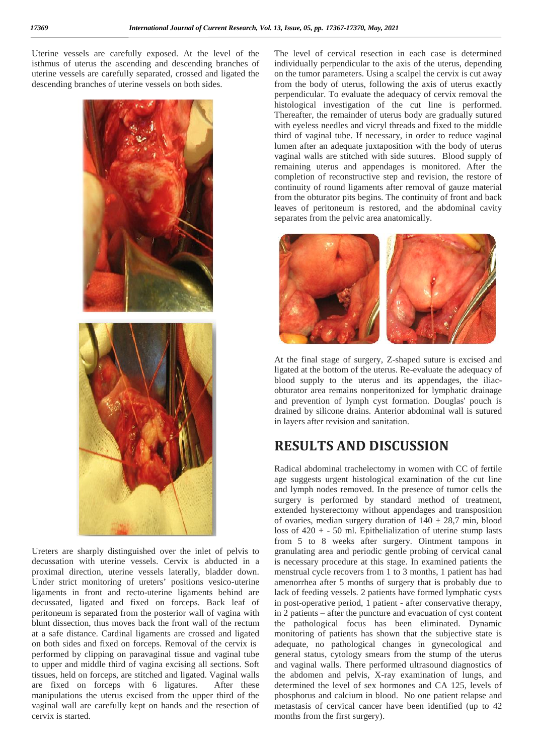Uterine vessels are carefully exposed. At the level of the isthmus of uterus the ascending and descending branches of uterine vessels are carefully separated, crossed and ligated the descending branches of uterine vessels on both sides.



Ureters are sharply distinguished over the inlet of pelvis to decussation with uterine vessels. Cervix is abducted in a proximal direction, uterine vessels laterally, bladder down. Under strict monitoring of ureters' positions vesico-uterine ligaments in front and recto-uterine ligaments behind are decussated, ligated and fixed on forceps. Back leaf of peritoneum is separated from the posterior wall of vagina with blunt dissection, thus moves back the front wall of the rectum at a safe distance. Cardinal ligaments are crossed and ligated on both sides and fixed on forceps. Removal of the cervix is performed by clipping on paravaginal tissue and vaginal tube to upper and middle third of vagina excising all sections. Soft tissues, held on forceps, are stitched and ligated. Vaginal walls are fixed on forceps with 6 ligatures. After these manipulations the uterus excised from the upper third of the vaginal wall are carefully kept on hands and the resection of cervix is started.

The level of cervical resection in each case is determined individually perpendicular to the axis of the uterus, depending on the tumor parameters. Using a scalpel the cervix is cut away from the body of uterus, following the axis of uterus exactly perpendicular. To evaluate the adequacy of cervix removal the histological investigation of the cut line is performed. Thereafter, the remainder of uterus body are gradually sutured with eyeless needles and vicryl threads and fixed to the middle third of vaginal tube. If necessary, in order to reduce vaginal lumen after an adequate juxtaposition with the body of uterus vaginal walls are stitched with side sutures. Blood supply of remaining uterus and appendages is monitored. After the completion of reconstructive step and revision, the restore of continuity of round ligaments after removal of gauze material from the obturator pits begins. The continuity of front and back leaves of peritoneum is restored, and the abdominal cavity separates from the pelvic area anatomically.



At the final stage of surgery, Z-shaped suture is excised and ligated at the bottom of the uterus. Re-evaluate the adequacy of blood supply to the uterus and its appendages, the iliac obturator area remains nonperitonized for lymphatic drainage and prevention of lymph cyst formation. Douglas' pouch is drained by silicone drains. Anterior abdominal wall is sutured in layers after revision and sanitation.

### **RESULTS AND DISCUSSION**

Radical abdominal trachelectomy in women with CC of fertile age suggests urgent histological examination of the cut line and lymph nodes removed. In the presence of tumor cells the surgery is performed by standard method of treatment, extended hysterectomy without appendages and transposition of ovaries, median surgery duration of  $140 \pm 28.7$  min, blood loss of  $420 + -50$  ml. Epithelialization of uterine stump lasts from 5 to 8 weeks after surgery. Ointment tampons in granulating area and periodic gentle probing of cervical canal is necessary procedure at this stage. In examined patients the menstrual cycle recovers from 1 to 3 months, 1 patient has had amenorrhea after 5 months of surgery that is probably due to lack of feeding vessels. 2 patients have formed lymphatic cysts in post-operative period, 1 patient - after conservative therapy, in 2 patients – after the puncture and evacuation of cyst content the pathological focus has been eliminated. Dynamic monitoring of patients has shown that the subjective state is adequate, no pathological changes in gynecological and general status, cytology smears from the stump of the uterus and vaginal walls. There performed ultrasound diagnostics of the abdomen and pelvis, X-ray examination of lungs, and determined the level of sex hormones and CA 125, levels of phosphorus and calcium in blood. No one patient relapse and metastasis of cervical cancer have been identified (up to 42 months from the first surgery).